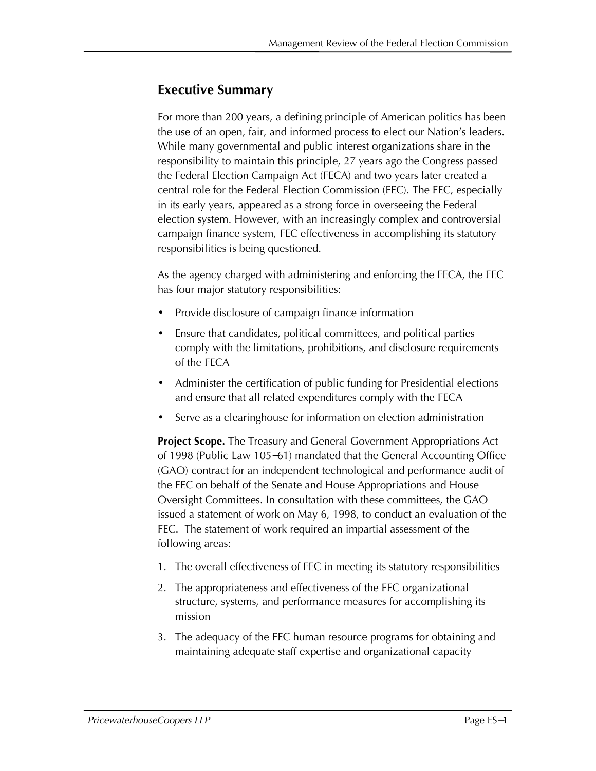# **Executive Summary**

For more than 200 years, a defining principle of American politics has been the use of an open, fair, and informed process to elect our Nation's leaders. While many governmental and public interest organizations share in the responsibility to maintain this principle, 27 years ago the Congress passed the Federal Election Campaign Act (FECA) and two years later created a central role for the Federal Election Commission (FEC). The FEC, especially in its early years, appeared as a strong force in overseeing the Federal election system. However, with an increasingly complex and controversial campaign finance system, FEC effectiveness in accomplishing its statutory responsibilities is being questioned.

As the agency charged with administering and enforcing the FECA, the FEC has four major statutory responsibilities:

- · Provide disclosure of campaign finance information
- · Ensure that candidates, political committees, and political parties comply with the limitations, prohibitions, and disclosure requirements of the FECA
- · Administer the certification of public funding for Presidential elections and ensure that all related expenditures comply with the FECA
- Serve as a clearinghouse for information on election administration

**Project Scope.** The Treasury and General Government Appropriations Act of 1998 (Public Law 105–61) mandated that the General Accounting Office (GAO) contract for an independent technological and performance audit of the FEC on behalf of the Senate and House Appropriations and House Oversight Committees. In consultation with these committees, the GAO issued a statement of work on May 6, 1998, to conduct an evaluation of the FEC. The statement of work required an impartial assessment of the following areas:

- 1. The overall effectiveness of FEC in meeting its statutory responsibilities
- 2. The appropriateness and effectiveness of the FEC organizational structure, systems, and performance measures for accomplishing its mission
- 3. The adequacy of the FEC human resource programs for obtaining and maintaining adequate staff expertise and organizational capacity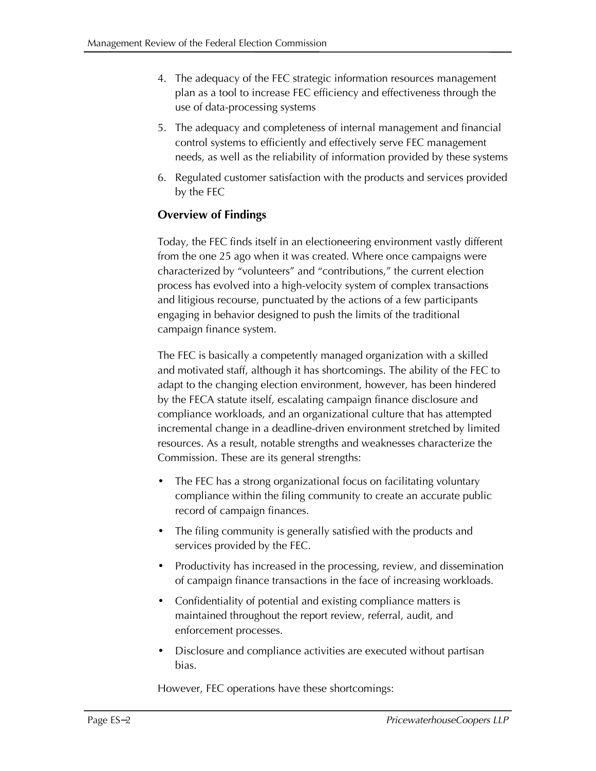- 4. The adequacy of the FEC strategic information resources management plan as a tool to increase FEC efficiency and effectiveness through the use of data-processing systems
- 5. The adequacy and completeness of internal management and financial control systems to efficiently and effectively serve FEC management needs, as well as the reliability of information provided by these systems
- 6. Regulated customer satisfaction with the products and services provided by the FEC

# **Overview of Findings**

Today, the FEC finds itself in an electioneering environment vastly different from the one 25 ago when it was created. Where once campaigns were characterized by "volunteers" and "contributions," the current election process has evolved into a high-velocity system of complex transactions and litigious recourse, punctuated by the actions of a few participants engaging in behavior designed to push the limits of the traditional campaign finance system.

The FEC is basically a competently managed organization with a skilled and motivated staff, although it has shortcomings. The ability of the FEC to adapt to the changing election environment, however, has been hindered by the FECA statute itself, escalating campaign finance disclosure and compliance workloads, and an organizational culture that has attempted incremental change in a deadline-driven environment stretched by limited resources. As a result, notable strengths and weaknesses characterize the Commission. These are its general strengths:

- The FEC has a strong organizational focus on facilitating voluntary compliance within the filing community to create an accurate public record of campaign finances.
- · The filing community is generally satisfied with the products and services provided by the FEC.
- · Productivity has increased in the processing, review, and dissemination of campaign finance transactions in the face of increasing workloads.
- · Confidentiality of potential and existing compliance matters is maintained throughout the report review, referral, audit, and enforcement processes.
- Disclosure and compliance activities are executed without partisan bias.

However, FEC operations have these shortcomings: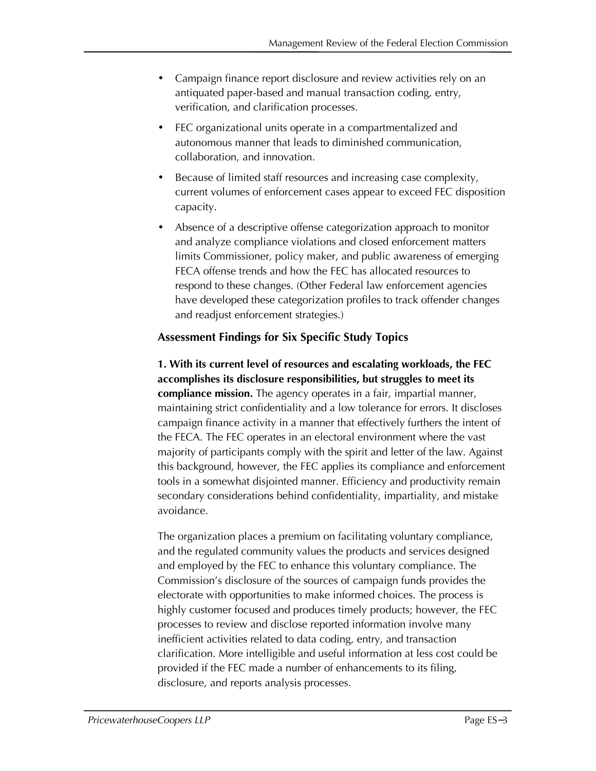- Campaign finance report disclosure and review activities rely on an antiquated paper-based and manual transaction coding, entry, verification, and clarification processes.
- FEC organizational units operate in a compartmentalized and autonomous manner that leads to diminished communication, collaboration, and innovation.
- Because of limited staff resources and increasing case complexity, current volumes of enforcement cases appear to exceed FEC disposition capacity.
- Absence of a descriptive offense categorization approach to monitor and analyze compliance violations and closed enforcement matters limits Commissioner, policy maker, and public awareness of emerging FECA offense trends and how the FEC has allocated resources to respond to these changes. (Other Federal law enforcement agencies have developed these categorization profiles to track offender changes and readjust enforcement strategies.)

## **Assessment Findings for Six Specific Study Topics**

**1. With its current level of resources and escalating workloads, the FEC accomplishes its disclosure responsibilities, but struggles to meet its compliance mission.** The agency operates in a fair, impartial manner, maintaining strict confidentiality and a low tolerance for errors. It discloses campaign finance activity in a manner that effectively furthers the intent of the FECA. The FEC operates in an electoral environment where the vast majority of participants comply with the spirit and letter of the law. Against this background, however, the FEC applies its compliance and enforcement tools in a somewhat disjointed manner. Efficiency and productivity remain secondary considerations behind confidentiality, impartiality, and mistake avoidance.

The organization places a premium on facilitating voluntary compliance, and the regulated community values the products and services designed and employed by the FEC to enhance this voluntary compliance. The Commission's disclosure of the sources of campaign funds provides the electorate with opportunities to make informed choices. The process is highly customer focused and produces timely products; however, the FEC processes to review and disclose reported information involve many inefficient activities related to data coding, entry, and transaction clarification. More intelligible and useful information at less cost could be provided if the FEC made a number of enhancements to its filing, disclosure, and reports analysis processes.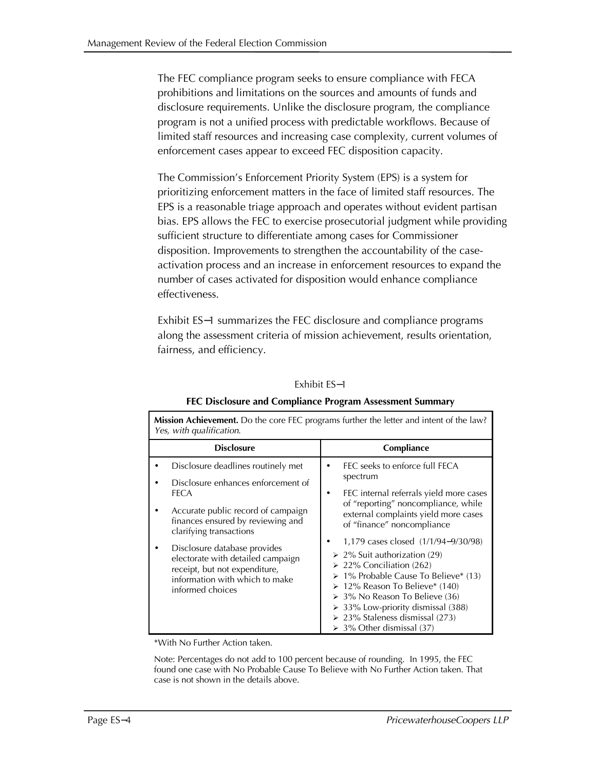The FEC compliance program seeks to ensure compliance with FECA prohibitions and limitations on the sources and amounts of funds and disclosure requirements. Unlike the disclosure program, the compliance program is not a unified process with predictable workflows. Because of limited staff resources and increasing case complexity, current volumes of enforcement cases appear to exceed FEC disposition capacity.

The Commission's Enforcement Priority System (EPS) is a system for prioritizing enforcement matters in the face of limited staff resources. The EPS is a reasonable triage approach and operates without evident partisan bias. EPS allows the FEC to exercise prosecutorial judgment while providing sufficient structure to differentiate among cases for Commissioner disposition. Improvements to strengthen the accountability of the caseactivation process and an increase in enforcement resources to expand the number of cases activated for disposition would enhance compliance effectiveness.

Exhibit ES-1 summarizes the FEC disclosure and compliance programs along the assessment criteria of mission achievement, results orientation, fairness, and efficiency.

#### Exhibit ES-1

| Mission Achievement. Do the core FEC programs further the letter and intent of the law?<br>Yes, with qualification.                                                                                                                                                                                                                                       |                                                                                                                                                                                                                                                                                                                                                                                                                                                                                                                                                                                 |  |  |  |  |
|-----------------------------------------------------------------------------------------------------------------------------------------------------------------------------------------------------------------------------------------------------------------------------------------------------------------------------------------------------------|---------------------------------------------------------------------------------------------------------------------------------------------------------------------------------------------------------------------------------------------------------------------------------------------------------------------------------------------------------------------------------------------------------------------------------------------------------------------------------------------------------------------------------------------------------------------------------|--|--|--|--|
| <b>Disclosure</b>                                                                                                                                                                                                                                                                                                                                         | Compliance                                                                                                                                                                                                                                                                                                                                                                                                                                                                                                                                                                      |  |  |  |  |
| Disclosure deadlines routinely met<br>Disclosure enhances enforcement of<br><b>FECA</b><br>Accurate public record of campaign<br>finances ensured by reviewing and<br>clarifying transactions<br>Disclosure database provides<br>electorate with detailed campaign<br>receipt, but not expenditure,<br>information with which to make<br>informed choices | FEC seeks to enforce full FECA<br>$\bullet$<br>spectrum<br>FEC internal referrals yield more cases<br>٠<br>of "reporting" noncompliance, while<br>external complaints yield more cases<br>of "finance" noncompliance<br>1,179 cases closed (1/1/94–9/30/98)<br>$\geq$ 2% Suit authorization (29)<br>$\geq$ 22% Conciliation (262)<br>▶ 1% Probable Cause To Believe* (13)<br>$\geq 12\%$ Reason To Believe* (140)<br>$\geq 3\%$ No Reason To Believe (36)<br>$\geq$ 33% Low-priority dismissal (388)<br>$\geq$ 23% Staleness dismissal (273)<br>$\geq 3\%$ Other dismissal (37) |  |  |  |  |

#### **FEC Disclosure and Compliance Program Assessment Summary**

\*With No Further Action taken.

Note: Percentages do not add to 100 percent because of rounding. In 1995, the FEC found one case with No Probable Cause To Believe with No Further Action taken. That case is not shown in the details above.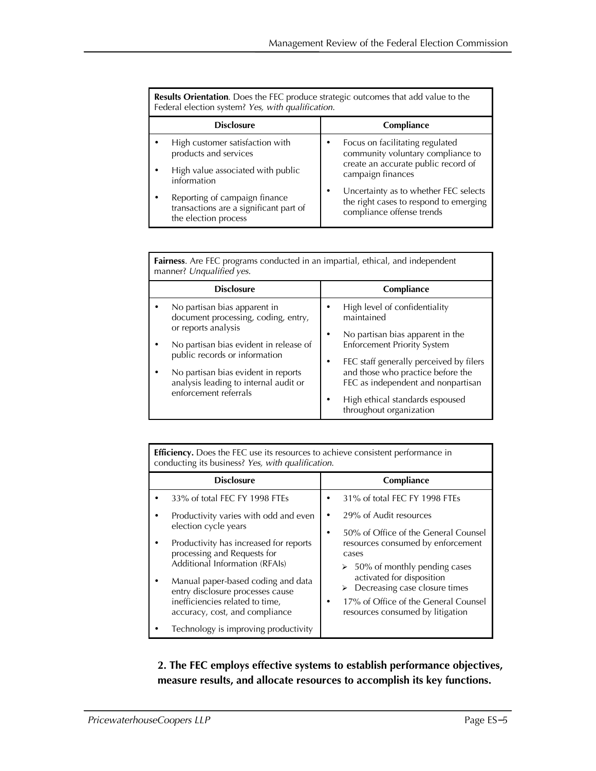|                   | <b>Results Orientation.</b> Does the FEC produce strategic outcomes that add value to the<br>Federal election system? Yes, with qualification. |            |                                                                                                              |  |  |
|-------------------|------------------------------------------------------------------------------------------------------------------------------------------------|------------|--------------------------------------------------------------------------------------------------------------|--|--|
| <b>Disclosure</b> |                                                                                                                                                | Compliance |                                                                                                              |  |  |
|                   | High customer satisfaction with<br>products and services<br>High value associated with public                                                  |            | Focus on facilitating regulated<br>community voluntary compliance to<br>create an accurate public record of  |  |  |
|                   | information                                                                                                                                    |            | campaign finances                                                                                            |  |  |
|                   | Reporting of campaign finance<br>transactions are a significant part of<br>the election process                                                |            | Uncertainty as to whether FEC selects<br>the right cases to respond to emerging<br>compliance offense trends |  |  |

| Fairness. Are FEC programs conducted in an impartial, ethical, and independent<br>manner? Unqualified yes.                                                                                                                                                                     |                                                                                                                                                                                                                                                                                                                |  |  |  |  |
|--------------------------------------------------------------------------------------------------------------------------------------------------------------------------------------------------------------------------------------------------------------------------------|----------------------------------------------------------------------------------------------------------------------------------------------------------------------------------------------------------------------------------------------------------------------------------------------------------------|--|--|--|--|
| <b>Disclosure</b>                                                                                                                                                                                                                                                              | Compliance                                                                                                                                                                                                                                                                                                     |  |  |  |  |
| No partisan bias apparent in<br>document processing, coding, entry,<br>or reports analysis<br>No partisan bias evident in release of<br>public records or information<br>No partisan bias evident in reports<br>analysis leading to internal audit or<br>enforcement referrals | High level of confidentiality<br>maintained<br>No partisan bias apparent in the<br>٠<br><b>Enforcement Priority System</b><br>FEC staff generally perceived by filers<br>and those who practice before the<br>FEC as independent and nonpartisan<br>High ethical standards espoused<br>throughout organization |  |  |  |  |

| <b>Efficiency.</b> Does the FEC use its resources to achieve consistent performance in<br>conducting its business? Yes, with qualification.                                                                                                                                                                             |                                                                                                                                                                                                                                                                                                     |  |  |  |  |
|-------------------------------------------------------------------------------------------------------------------------------------------------------------------------------------------------------------------------------------------------------------------------------------------------------------------------|-----------------------------------------------------------------------------------------------------------------------------------------------------------------------------------------------------------------------------------------------------------------------------------------------------|--|--|--|--|
| <b>Disclosure</b>                                                                                                                                                                                                                                                                                                       | Compliance                                                                                                                                                                                                                                                                                          |  |  |  |  |
| 33% of total FEC FY 1998 FTEs                                                                                                                                                                                                                                                                                           | 31% of total FEC FY 1998 FTEs                                                                                                                                                                                                                                                                       |  |  |  |  |
| Productivity varies with odd and even<br>election cycle years<br>Productivity has increased for reports<br>processing and Requests for<br>Additional Information (RFAIs)<br>Manual paper-based coding and data<br>entry disclosure processes cause<br>inefficiencies related to time,<br>accuracy, cost, and compliance | 29% of Audit resources<br>50% of Office of the General Counsel<br>resources consumed by enforcement<br>cases<br>$\geq 50\%$ of monthly pending cases<br>activated for disposition<br>Decreasing case closure times<br>≻<br>17% of Office of the General Counsel<br>resources consumed by litigation |  |  |  |  |
| Technology is improving productivity                                                                                                                                                                                                                                                                                    |                                                                                                                                                                                                                                                                                                     |  |  |  |  |

**2. The FEC employs effective systems to establish performance objectives, measure results, and allocate resources to accomplish its key functions.**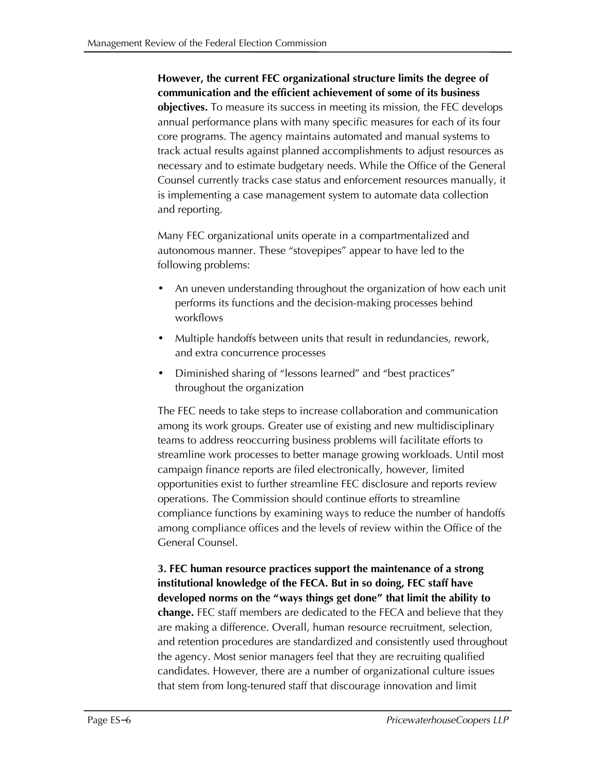# **However, the current FEC organizational structure limits the degree of communication and the efficient achievement of some of its business**

**objectives.** To measure its success in meeting its mission, the FEC develops annual performance plans with many specific measures for each of its four core programs. The agency maintains automated and manual systems to track actual results against planned accomplishments to adjust resources as necessary and to estimate budgetary needs. While the Office of the General Counsel currently tracks case status and enforcement resources manually, it is implementing a case management system to automate data collection and reporting.

Many FEC organizational units operate in a compartmentalized and autonomous manner. These "stovepipes" appear to have led to the following problems:

- · An uneven understanding throughout the organization of how each unit performs its functions and the decision-making processes behind workflows
- · Multiple handoffs between units that result in redundancies, rework, and extra concurrence processes
- · Diminished sharing of "lessons learned" and "best practices" throughout the organization

The FEC needs to take steps to increase collaboration and communication among its work groups. Greater use of existing and new multidisciplinary teams to address reoccurring business problems will facilitate efforts to streamline work processes to better manage growing workloads. Until most campaign finance reports are filed electronically, however, limited opportunities exist to further streamline FEC disclosure and reports review operations. The Commission should continue efforts to streamline compliance functions by examining ways to reduce the number of handoffs among compliance offices and the levels of review within the Office of the General Counsel.

**3. FEC human resource practices support the maintenance of a strong institutional knowledge of the FECA. But in so doing, FEC staff have developed norms on the "ways things get done" that limit the ability to change.** FEC staff members are dedicated to the FECA and believe that they are making a difference. Overall, human resource recruitment, selection, and retention procedures are standardized and consistently used throughout the agency. Most senior managers feel that they are recruiting qualified candidates. However, there are a number of organizational culture issues that stem from long-tenured staff that discourage innovation and limit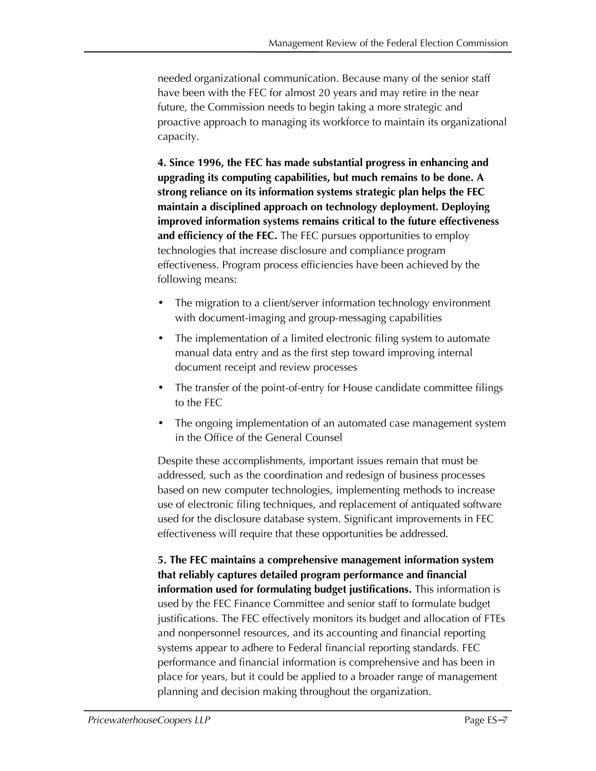needed organizational communication. Because many of the senior staff have been with the FEC for almost 20 years and may retire in the near future, the Commission needs to begin taking a more strategic and proactive approach to managing its workforce to maintain its organizational capacity.

**4. Since 1996, the FEC has made substantial progress in enhancing and upgrading its computing capabilities, but much remains to be done. A strong reliance on its information systems strategic plan helps the FEC maintain a disciplined approach on technology deployment. Deploying improved information systems remains critical to the future effectiveness and efficiency of the FEC.** The FEC pursues opportunities to employ technologies that increase disclosure and compliance program effectiveness. Program process efficiencies have been achieved by the following means:

- The migration to a client/server information technology environment with document-imaging and group-messaging capabilities
- The implementation of a limited electronic filing system to automate manual data entry and as the first step toward improving internal document receipt and review processes
- The transfer of the point-of-entry for House candidate committee filings to the FEC
- The ongoing implementation of an automated case management system in the Office of the General Counsel

Despite these accomplishments, important issues remain that must be addressed, such as the coordination and redesign of business processes based on new computer technologies, implementing methods to increase use of electronic filing techniques, and replacement of antiquated software used for the disclosure database system. Significant improvements in FEC effectiveness will require that these opportunities be addressed.

**5. The FEC maintains a comprehensive management information system that reliably captures detailed program performance and financial information used for formulating budget justifications.** This information is used by the FEC Finance Committee and senior staff to formulate budget justifications. The FEC effectively monitors its budget and allocation of FTEs and nonpersonnel resources, and its accounting and financial reporting systems appear to adhere to Federal financial reporting standards. FEC performance and financial information is comprehensive and has been in place for years, but it could be applied to a broader range of management planning and decision making throughout the organization.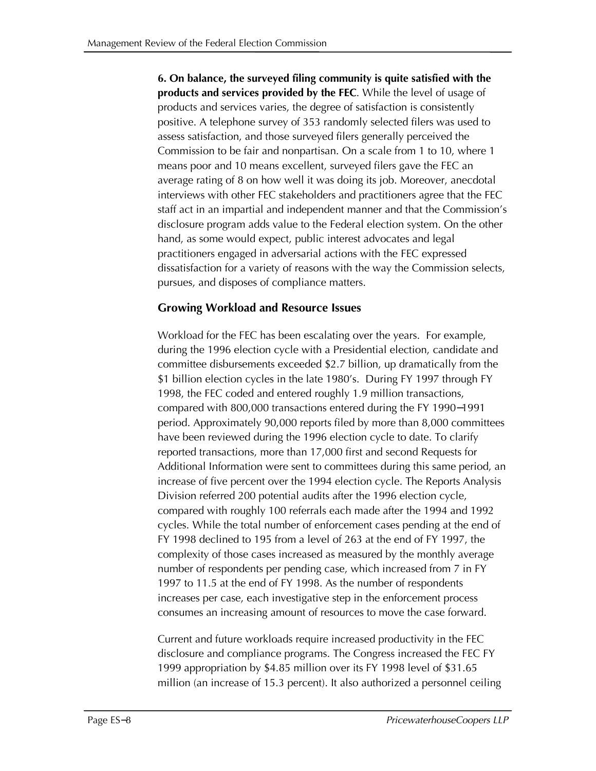**6. On balance, the surveyed filing community is quite satisfied with the products and services provided by the FEC**. While the level of usage of products and services varies, the degree of satisfaction is consistently positive. A telephone survey of 353 randomly selected filers was used to assess satisfaction, and those surveyed filers generally perceived the Commission to be fair and nonpartisan. On a scale from 1 to 10, where 1 means poor and 10 means excellent, surveyed filers gave the FEC an average rating of 8 on how well it was doing its job. Moreover, anecdotal interviews with other FEC stakeholders and practitioners agree that the FEC staff act in an impartial and independent manner and that the Commission's disclosure program adds value to the Federal election system. On the other hand, as some would expect, public interest advocates and legal practitioners engaged in adversarial actions with the FEC expressed dissatisfaction for a variety of reasons with the way the Commission selects, pursues, and disposes of compliance matters.

### **Growing Workload and Resource Issues**

Workload for the FEC has been escalating over the years. For example, during the 1996 election cycle with a Presidential election, candidate and committee disbursements exceeded \$2.7 billion, up dramatically from the \$1 billion election cycles in the late 1980's. During FY 1997 through FY 1998, the FEC coded and entered roughly 1.9 million transactions, compared with 800,000 transactions entered during the FY 1990- 1991 period. Approximately 90,000 reports filed by more than 8,000 committees have been reviewed during the 1996 election cycle to date. To clarify reported transactions, more than 17,000 first and second Requests for Additional Information were sent to committees during this same period, an increase of five percent over the 1994 election cycle. The Reports Analysis Division referred 200 potential audits after the 1996 election cycle, compared with roughly 100 referrals each made after the 1994 and 1992 cycles. While the total number of enforcement cases pending at the end of FY 1998 declined to 195 from a level of 263 at the end of FY 1997, the complexity of those cases increased as measured by the monthly average number of respondents per pending case, which increased from 7 in FY 1997 to 11.5 at the end of FY 1998. As the number of respondents increases per case, each investigative step in the enforcement process consumes an increasing amount of resources to move the case forward.

Current and future workloads require increased productivity in the FEC disclosure and compliance programs. The Congress increased the FEC FY 1999 appropriation by \$4.85 million over its FY 1998 level of \$31.65 million (an increase of 15.3 percent). It also authorized a personnel ceiling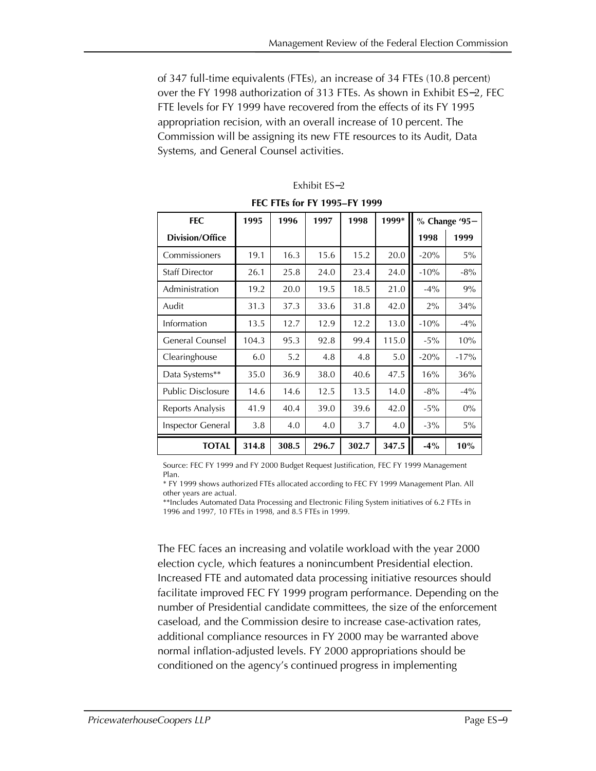of 347 full-time equivalents (FTEs), an increase of 34 FTEs (10.8 percent) over the FY 1998 authorization of 313 FTEs. As shown in Exhibit ES-2, FEC FTE levels for FY 1999 have recovered from the effects of its FY 1995 appropriation recision, with an overall increase of 10 percent. The Commission will be assigning its new FTE resources to its Audit, Data Systems, and General Counsel activities.

| <b>FEC</b>               | 1995  | 1996  | 1997  | 1998  | 1999* | % Change '95- |        |
|--------------------------|-------|-------|-------|-------|-------|---------------|--------|
| <b>Division/Office</b>   |       |       |       |       |       | 1998          | 1999   |
| Commissioners            | 19.1  | 16.3  | 15.6  | 15.2  | 20.0  | $-20%$        | 5%     |
| <b>Staff Director</b>    | 26.1  | 25.8  | 24.0  | 23.4  | 24.0  | $-10%$        | $-8%$  |
| Administration           | 19.2  | 20.0  | 19.5  | 18.5  | 21.0  | $-4\%$        | 9%     |
| Audit                    | 31.3  | 37.3  | 33.6  | 31.8  | 42.0  | 2%            | 34%    |
| Information              | 13.5  | 12.7  | 12.9  | 12.2  | 13.0  | $-10%$        | $-4\%$ |
| General Counsel          | 104.3 | 95.3  | 92.8  | 99.4  | 115.0 | $-5%$         | 10%    |
| Clearinghouse            | 6.0   | 5.2   | 4.8   | 4.8   | 5.0   | $-20%$        | $-17%$ |
| Data Systems**           | 35.0  | 36.9  | 38.0  | 40.6  | 47.5  | 16%           | 36%    |
| <b>Public Disclosure</b> | 14.6  | 14.6  | 12.5  | 13.5  | 14.0  | $-8\%$        | $-4\%$ |
| Reports Analysis         | 41.9  | 40.4  | 39.0  | 39.6  | 42.0  | $-5%$         | $0\%$  |
| Inspector General        | 3.8   | 4.0   | 4.0   | 3.7   | 4.0   | $-3\%$        | 5%     |
| <b>TOTAL</b>             | 314.8 | 308.5 | 296.7 | 302.7 | 347.5 | $-4\%$        | 10%    |

### Exhibit ES-2

**FEC FTEs for FY 1995–FY 1999** 

Source: FEC FY 1999 and FY 2000 Budget Request Justification, FEC FY 1999 Management Plan.

\* FY 1999 shows authorized FTEs allocated according to FEC FY 1999 Management Plan. All other years are actual.

\*\*Includes Automated Data Processing and Electronic Filing System initiatives of 6.2 FTEs in 1996 and 1997, 10 FTEs in 1998, and 8.5 FTEs in 1999.

The FEC faces an increasing and volatile workload with the year 2000 election cycle, which features a nonincumbent Presidential election. Increased FTE and automated data processing initiative resources should facilitate improved FEC FY 1999 program performance. Depending on the number of Presidential candidate committees, the size of the enforcement caseload, and the Commission desire to increase case-activation rates, additional compliance resources in FY 2000 may be warranted above normal inflation-adjusted levels. FY 2000 appropriations should be conditioned on the agency's continued progress in implementing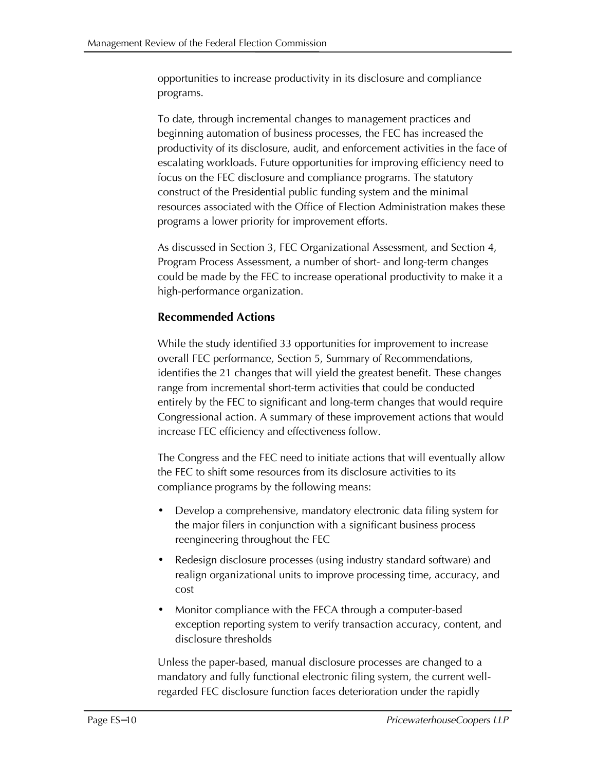opportunities to increase productivity in its disclosure and compliance programs.

To date, through incremental changes to management practices and beginning automation of business processes, the FEC has increased the productivity of its disclosure, audit, and enforcement activities in the face of escalating workloads. Future opportunities for improving efficiency need to focus on the FEC disclosure and compliance programs. The statutory construct of the Presidential public funding system and the minimal resources associated with the Office of Election Administration makes these programs a lower priority for improvement efforts.

As discussed in Section 3, FEC Organizational Assessment, and Section 4, Program Process Assessment, a number of short- and long-term changes could be made by the FEC to increase operational productivity to make it a high-performance organization.

### **Recommended Actions**

While the study identified 33 opportunities for improvement to increase overall FEC performance, Section 5, Summary of Recommendations, identifies the 21 changes that will yield the greatest benefit. These changes range from incremental short-term activities that could be conducted entirely by the FEC to significant and long-term changes that would require Congressional action. A summary of these improvement actions that would increase FEC efficiency and effectiveness follow.

The Congress and the FEC need to initiate actions that will eventually allow the FEC to shift some resources from its disclosure activities to its compliance programs by the following means:

- · Develop a comprehensive, mandatory electronic data filing system for the major filers in conjunction with a significant business process reengineering throughout the FEC
- · Redesign disclosure processes (using industry standard software) and realign organizational units to improve processing time, accuracy, and cost
- · Monitor compliance with the FECA through a computer-based exception reporting system to verify transaction accuracy, content, and disclosure thresholds

Unless the paper-based, manual disclosure processes are changed to a mandatory and fully functional electronic filing system, the current wellregarded FEC disclosure function faces deterioration under the rapidly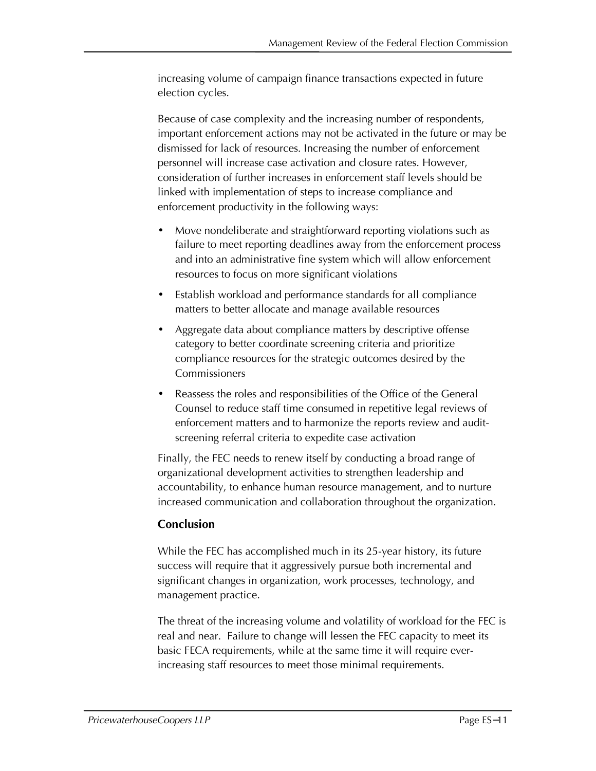increasing volume of campaign finance transactions expected in future election cycles.

Because of case complexity and the increasing number of respondents, important enforcement actions may not be activated in the future or may be dismissed for lack of resources. Increasing the number of enforcement personnel will increase case activation and closure rates. However, consideration of further increases in enforcement staff levels should be linked with implementation of steps to increase compliance and enforcement productivity in the following ways:

- · Move nondeliberate and straightforward reporting violations such as failure to meet reporting deadlines away from the enforcement process and into an administrative fine system which will allow enforcement resources to focus on more significant violations
- Establish workload and performance standards for all compliance matters to better allocate and manage available resources
- Aggregate data about compliance matters by descriptive offense category to better coordinate screening criteria and prioritize compliance resources for the strategic outcomes desired by the Commissioners
- Reassess the roles and responsibilities of the Office of the General Counsel to reduce staff time consumed in repetitive legal reviews of enforcement matters and to harmonize the reports review and auditscreening referral criteria to expedite case activation

Finally, the FEC needs to renew itself by conducting a broad range of organizational development activities to strengthen leadership and accountability, to enhance human resource management, and to nurture increased communication and collaboration throughout the organization.

# **Conclusion**

While the FEC has accomplished much in its 25-year history, its future success will require that it aggressively pursue both incremental and significant changes in organization, work processes, technology, and management practice.

The threat of the increasing volume and volatility of workload for the FEC is real and near. Failure to change will lessen the FEC capacity to meet its basic FECA requirements, while at the same time it will require everincreasing staff resources to meet those minimal requirements.